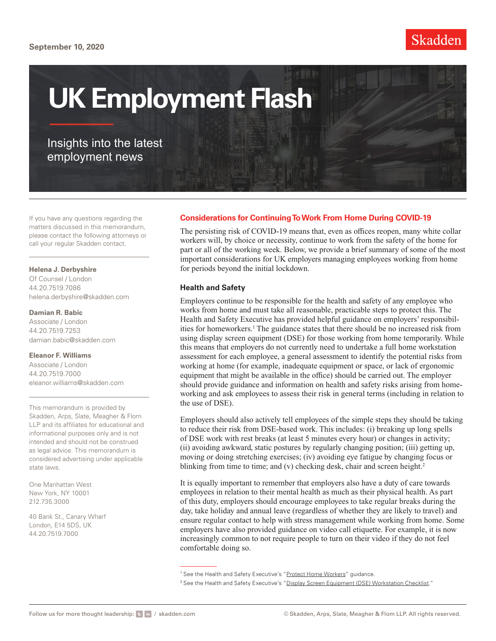# **September 10, 2020**



# **UK Employment Flash**

Insights into the latest employment news

If you have any questions regarding the matters discussed in this memorandum, please contact the following attorneys or call your regular Skadden contact.

#### **Helena J. Derbyshire**

Of Counsel / London 44.20.7519.7086 [helena.derbyshire@skadden.com](mailto:helena.derbyshire@skadden.com)

### **Damian R. Babic**

Associate / London 44.20.7519.7253 [damian.babic@skadden.com](mailto:damian.babic@skadden.com)

### **Eleanor F. Williams**

Associate / London 44.20.7519.7000 [eleanor.williams@skadden.com](mailto:eleanor.williams@skadden.com)

This memorandum is provided by Skadden, Arps, Slate, Meagher & Flom LLP and its affiliates for educational and informational purposes only and is not intended and should not be construed as legal advice. This memorandum is considered advertising under applicable state laws.

One Manhattan West New York, NY 10001 212.735.3000

40 Bank St., Canary Wharf London, E14 5DS, UK 44.20.7519.7000

# **Considerations for Continuing To Work From Home During COVID-19**

The persisting risk of COVID-19 means that, even as offices reopen, many white collar workers will, by choice or necessity, continue to work from the safety of the home for part or all of the working week. Below, we provide a brief summary of some of the most important considerations for UK employers managing employees working from home for periods beyond the initial lockdown.

### **Health and Safety**

Employers continue to be responsible for the health and safety of any employee who works from home and must take all reasonable, practicable steps to protect this. The Health and Safety Executive has provided helpful guidance on employers' responsibilities for homeworkers.<sup>1</sup> The guidance states that there should be no increased risk from using display screen equipment (DSE) for those working from home temporarily. While this means that employers do not currently need to undertake a full home workstation assessment for each employee, a general assessment to identify the potential risks from working at home (for example, inadequate equipment or space, or lack of ergonomic equipment that might be available in the office) should be carried out. The employer should provide guidance and information on health and safety risks arising from homeworking and ask employees to assess their risk in general terms (including in relation to the use of DSE).

Employers should also actively tell employees of the simple steps they should be taking to reduce their risk from DSE-based work. This includes: (i) breaking up long spells of DSE work with rest breaks (at least 5 minutes every hour) or changes in activity; (ii) avoiding awkward, static postures by regularly changing position; (iii) getting up, moving or doing stretching exercises; (iv) avoiding eye fatigue by changing focus or blinking from time to time; and (v) checking desk, chair and screen height.<sup>2</sup>

It is equally important to remember that employers also have a duty of care towards employees in relation to their mental health as much as their physical health. As part of this duty, employers should encourage employees to take regular breaks during the day, take holiday and annual leave (regardless of whether they are likely to travel) and ensure regular contact to help with stress management while working from home. Some employers have also provided guidance on video call etiquette. For example, it is now increasingly common to not require people to turn on their video if they do not feel comfortable doing so.

<sup>&</sup>lt;sup>1</sup> See the Health and Safety Executive's "[Protect Home Workers"](https://www.hse.gov.uk/toolbox/workers/home.htm#dse) guidance.

<sup>&</sup>lt;sup>2</sup> See the Health and Safety Executive's "[Display Screen Equipment \(DSE\) Workstation Checklist.](http://www.skadden.com/-/media/files/publications/2020/09/uk-employment-flash/fn2_ck1.pdf)"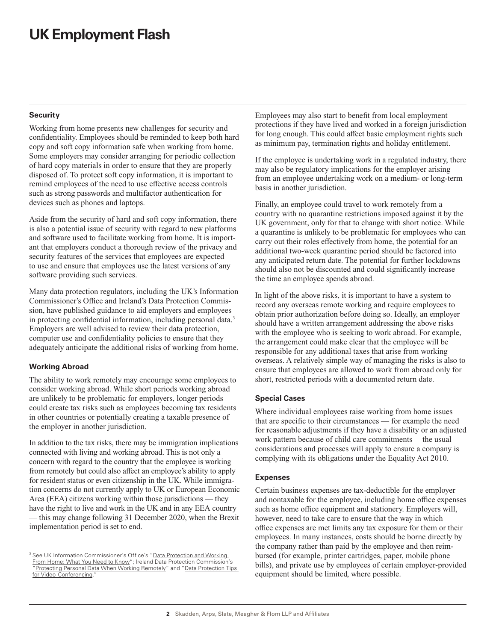# **UK Employment Flash**

### **Security**

Working from home presents new challenges for security and confidentiality. Employees should be reminded to keep both hard copy and soft copy information safe when working from home. Some employers may consider arranging for periodic collection of hard copy materials in order to ensure that they are properly disposed of. To protect soft copy information, it is important to remind employees of the need to use effective access controls such as strong passwords and multifactor authentication for devices such as phones and laptops.

Aside from the security of hard and soft copy information, there is also a potential issue of security with regard to new platforms and software used to facilitate working from home. It is important that employers conduct a thorough review of the privacy and security features of the services that employees are expected to use and ensure that employees use the latest versions of any software providing such services.

Many data protection regulators, including the UK's Information Commissioner's Office and Ireland's Data Protection Commission, have published guidance to aid employers and employees in protecting confidential information, including personal data.<sup>3</sup> Employers are well advised to review their data protection, computer use and confidentiality policies to ensure that they adequately anticipate the additional risks of working from home.

# **Working Abroad**

The ability to work remotely may encourage some employees to consider working abroad. While short periods working abroad are unlikely to be problematic for employers, longer periods could create tax risks such as employees becoming tax residents in other countries or potentially creating a taxable presence of the employer in another jurisdiction.

In addition to the tax risks, there may be immigration implications connected with living and working abroad. This is not only a concern with regard to the country that the employee is working from remotely but could also affect an employee's ability to apply for resident status or even citizenship in the UK. While immigration concerns do not currently apply to UK or European Economic Area (EEA) citizens working within those jurisdictions — they have the right to live and work in the UK and in any EEA country — this may change following 31 December 2020, when the Brexit implementation period is set to end.

Employees may also start to benefit from local employment protections if they have lived and worked in a foreign jurisdiction for long enough. This could affect basic employment rights such as minimum pay, termination rights and holiday entitlement.

If the employee is undertaking work in a regulated industry, there may also be regulatory implications for the employer arising from an employee undertaking work on a medium- or long-term basis in another jurisdiction.

Finally, an employee could travel to work remotely from a country with no quarantine restrictions imposed against it by the UK government, only for that to change with short notice. While a quarantine is unlikely to be problematic for employees who can carry out their roles effectively from home, the potential for an additional two-week quarantine period should be factored into any anticipated return date. The potential for further lockdowns should also not be discounted and could significantly increase the time an employee spends abroad.

In light of the above risks, it is important to have a system to record any overseas remote working and require employees to obtain prior authorization before doing so. Ideally, an employer should have a written arrangement addressing the above risks with the employee who is seeking to work abroad. For example, the arrangement could make clear that the employee will be responsible for any additional taxes that arise from working overseas. A relatively simple way of managing the risks is also to ensure that employees are allowed to work from abroad only for short, restricted periods with a documented return date.

# **Special Cases**

Where individual employees raise working from home issues that are specific to their circumstances — for example the need for reasonable adjustments if they have a disability or an adjusted work pattern because of child care commitments —the usual considerations and processes will apply to ensure a company is complying with its obligations under the Equality Act 2010.

# **Expenses**

Certain business expenses are tax-deductible for the employer and nontaxable for the employee, including home office expenses such as home office equipment and stationery. Employers will, however, need to take care to ensure that the way in which office expenses are met limits any tax exposure for them or their employees. In many instances, costs should be borne directly by the company rather than paid by the employee and then reimbursed (for example, printer cartridges, paper, mobile phone bills), and private use by employees of certain employer-provided equipment should be limited, where possible.

<sup>&</sup>lt;sup>3</sup> See UK Information Commissioner's Office's "Data Protection and Working [From Home: What You Need to Know](https://ico.org.uk/for-organisations/working-from-home)"; Ireland Data Protection Commission's '[Protecting Personal Data When Working Remotely"](https://www.dataprotection.ie/en/protecting-personal-data-when-working-remotely-0) and "Data Protection Tips [for Video-Conferencing](https://dataprotection.ie/en/news-media/blogs/data-protection-tips-video-conferencing).